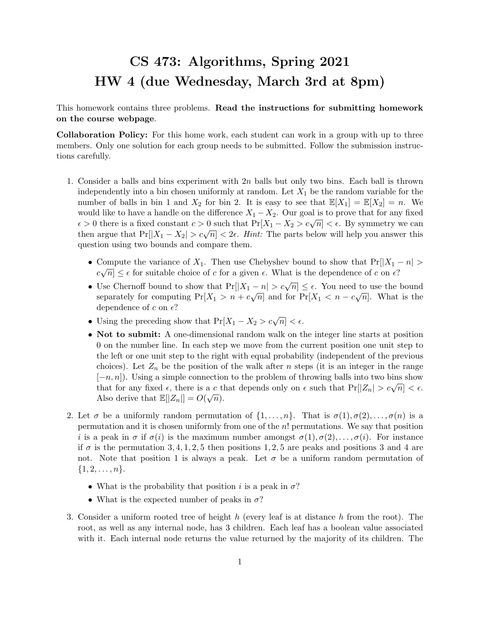## CS 473: Algorithms, Spring 2021 HW 4 (due Wednesday, March 3rd at 8pm)

This homework contains three problems. Read the instructions for submitting homework on the course webpage.

Collaboration Policy: For this home work, each student can work in a group with up to three members. Only one solution for each group needs to be submitted. Follow the submission instructions carefully.

- 1. Consider a balls and bins experiment with  $2n$  balls but only two bins. Each ball is thrown independently into a bin chosen uniformly at random. Let  $X_1$  be the random variable for the number of balls in bin 1 and  $X_2$  for bin 2. It is easy to see that  $\mathbb{E}[X_1] = \mathbb{E}[X_2] = n$ . We would like to have a handle on the difference  $X_1 - X_2$ . Our goal is to prove that for any fixed  $\epsilon > 0$  there is a fixed constant  $c > 0$  such that Pr[X<sub>1</sub> – X<sub>2</sub> > c<sub>V</sub>n] <  $\epsilon$ . By symmetry we can then argue that Pr $[|X_1 - X_2| > c\sqrt{n}] < 2\epsilon$ . Hint: The parts below will help you answer this question using two bounds and compare them.
	- Compute the variance of  $X_1$ . Then use Chebyshev bound to show that  $Pr[|X_1 n| > \sqrt{2}$  $c\sqrt{n} \leq \epsilon$  for suitable choice of c for a given  $\epsilon$ . What is the dependence of c on  $\epsilon$ ?
	- Use Chernoff bound to show that  $Pr[|X_1 n| > c\sqrt{n}] \le \epsilon$ . You need to use the bound separately for computing  $Pr[X_1 > n + c\sqrt{n}]$  and for  $Pr[X_1 < n - c\sqrt{n}]$ . What is the dependence of c on  $\epsilon$ ?
	- Using the preceding show that  $Pr[X_1 X_2 > c\sqrt{n}] < \epsilon$ .
	- Not to submit: A one-dimensional random walk on the integer line starts at position 0 on the number line. In each step we move from the current position one unit step to the left or one unit step to the right with equal probability (independent of the previous choices). Let  $Z_n$  be the position of the walk after n steps (it is an integer in the range  $[-n, n]$ ). Using a simple connection to the problem of throwing balls into two bins show  $[-n, n]$ . Using a simple connection to the problem of throwing bans into two bins show<br>that for any fixed  $\epsilon$ , there is a c that depends only on  $\epsilon$  such that  $Pr[|Z_n| > c\sqrt{n}] < \epsilon$ . Also derive that  $\mathbb{E}[|Z_n|] = O(\sqrt{n}).$
- 2. Let  $\sigma$  be a uniformly random permutation of  $\{1,\ldots,n\}$ . That is  $\sigma(1),\sigma(2),\ldots,\sigma(n)$  is a permutation and it is chosen uniformly from one of the n! permutations. We say that position i is a peak in  $\sigma$  if  $\sigma(i)$  is the maximum number amongst  $\sigma(1), \sigma(2), \ldots, \sigma(i)$ . For instance if  $\sigma$  is the permutation 3, 4, 1, 2, 5 then positions 1, 2, 5 are peaks and positions 3 and 4 are not. Note that position 1 is always a peak. Let  $\sigma$  be a uniform random permutation of  $\{1, 2, \ldots, n\}.$ 
	- What is the probability that position i is a peak in  $\sigma$ ?
	- What is the expected number of peaks in  $\sigma$ ?
- 3. Consider a uniform rooted tree of height h (every leaf is at distance h from the root). The root, as well as any internal node, has 3 children. Each leaf has a boolean value associated with it. Each internal node returns the value returned by the majority of its children. The